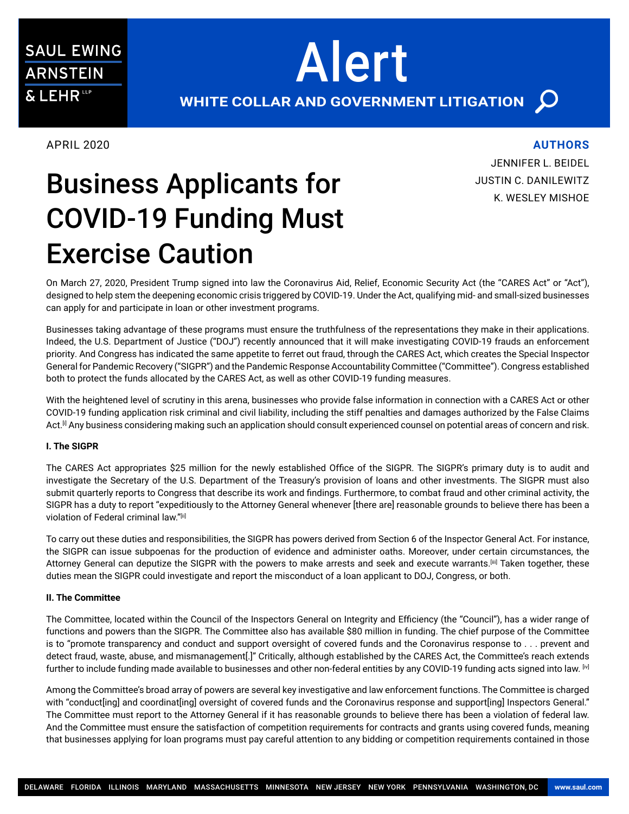# Business Applicants for COVID-19 Funding Must Exercise Caution

## On March 27, 2020, President Trump signed into law the Coronavirus Aid, Relief, Economic Security Act (the "CARES Act" or "Act"), designed to help stem the deepening economic crisis triggered by COVID-19. Under the Act, qualifying mid- and small-sized businesses can apply for and participate in loan or other investment programs.

Alert

Businesses taking advantage of these programs must ensure the truthfulness of the representations they make in their applications. Indeed, the U.S. Department of Justice ("DOJ") recently announced that it will make investigating COVID-19 frauds an enforcement priority. And Congress has indicated the same appetite to ferret out fraud, through the CARES Act, which creates the Special Inspector General for Pandemic Recovery ("SIGPR") and the Pandemic Response Accountability Committee ("Committee"). Congress established both to protect the funds allocated by the CARES Act, as well as other COVID-19 funding measures.

With the heightened level of scrutiny in this arena, businesses who provide false information in connection with a CARES Act or other COVID-19 funding application risk criminal and civil liability, including the stiff penalties and damages authorized by the False Claims Act.<sup>[i]</sup> Any business considering making such an application should consult experienced counsel on potential areas of concern and risk.

## **I. The SIGPR**

The CARES Act appropriates \$25 million for the newly established Office of the SIGPR. The SIGPR's primary duty is to audit and investigate the Secretary of the U.S. Department of the Treasury's provision of loans and other investments. The SIGPR must also submit quarterly reports to Congress that describe its work and findings. Furthermore, to combat fraud and other criminal activity, the SIGPR has a duty to report "expeditiously to the Attorney General whenever [there are] reasonable grounds to believe there has been a violation of Federal criminal law."[ii]

To carry out these duties and responsibilities, the SIGPR has powers derived from Section 6 of the Inspector General Act. For instance, the SIGPR can issue subpoenas for the production of evidence and administer oaths. Moreover, under certain circumstances, the Attorney General can deputize the SIGPR with the powers to make arrests and seek and execute warrants.[iii] Taken together, these duties mean the SIGPR could investigate and report the misconduct of a loan applicant to DOJ, Congress, or both.

## **II. The Committee**

The Committee, located within the Council of the Inspectors General on Integrity and Efficiency (the "Council"), has a wider range of functions and powers than the SIGPR. The Committee also has available \$80 million in funding. The chief purpose of the Committee is to "promote transparency and conduct and support oversight of covered funds and the Coronavirus response to . . . prevent and detect fraud, waste, abuse, and mismanagement[.]" Critically, although established by the CARES Act, the Committee's reach extends further to include funding made available to businesses and other non-federal entities by any COVID-19 funding acts signed into law. [iv]

Among the Committee's broad array of powers are several key investigative and law enforcement functions. The Committee is charged with "conduct[ing] and coordinat[ing] oversight of covered funds and the Coronavirus response and support[ing] Inspectors General." The Committee must report to the Attorney General if it has reasonable grounds to believe there has been a violation of federal law. And the Committee must ensure the satisfaction of competition requirements for contracts and grants using covered funds, meaning that businesses applying for loan programs must pay careful attention to any bidding or competition requirements contained in those

# **AUTHORS**

JENNIFER L. BEIDEL JUSTIN C. DANILEWITZ K. WESLEY MISHOE

APRIL 2020